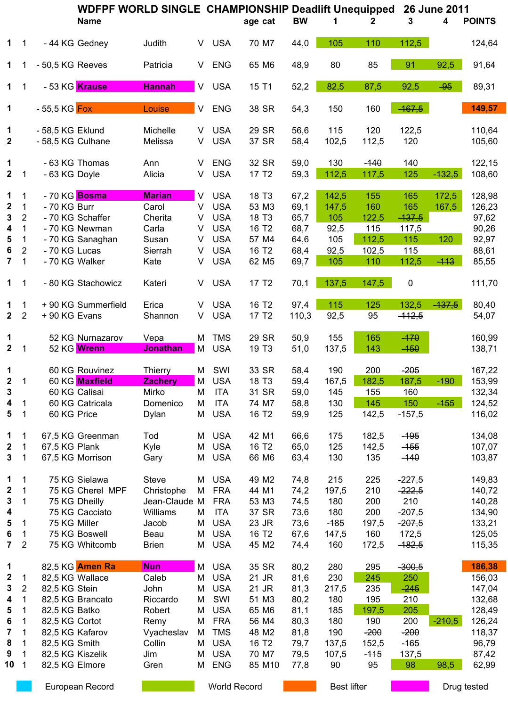|                                                                          |                                                                       |                                                                                                                             | WDFPF WORLD SINGLE CHAMPIONSHIP Deadlift Unequipped<br><b>Name</b>                                      |                                                                                          |                                           |                                                                                                                     | age cat                                                                                                                 | <b>BW</b>                                                            | 1                                                                 | 2                                                                     | 3                                                                           | <b>26 June 2011</b><br>4        | <b>POINTS</b>                                                                        |
|--------------------------------------------------------------------------|-----------------------------------------------------------------------|-----------------------------------------------------------------------------------------------------------------------------|---------------------------------------------------------------------------------------------------------|------------------------------------------------------------------------------------------|-------------------------------------------|---------------------------------------------------------------------------------------------------------------------|-------------------------------------------------------------------------------------------------------------------------|----------------------------------------------------------------------|-------------------------------------------------------------------|-----------------------------------------------------------------------|-----------------------------------------------------------------------------|---------------------------------|--------------------------------------------------------------------------------------|
| $\mathbf 1$                                                              | $\mathbf{1}$                                                          | - 44 KG Gedney                                                                                                              |                                                                                                         | Judith                                                                                   | V                                         | <b>USA</b>                                                                                                          | 70 M7                                                                                                                   | 44,0                                                                 | 105                                                               | 110                                                                   | 112,5                                                                       |                                 | 124,64                                                                               |
| 1                                                                        | 1                                                                     | - 50,5 KG Reeves                                                                                                            |                                                                                                         | Patricia                                                                                 | V                                         | <b>ENG</b>                                                                                                          | 65 M6                                                                                                                   | 48,9                                                                 | 80                                                                | 85                                                                    | 91                                                                          | 92,5                            | 91,64                                                                                |
| $\mathbf 1$                                                              | 1                                                                     | - 53 KG Krause                                                                                                              |                                                                                                         | <b>Hannah</b>                                                                            | V                                         | <b>USA</b>                                                                                                          | 15 T1                                                                                                                   | 52,2                                                                 | 82,5                                                              | 87,5                                                                  | 92,5                                                                        | $-95$                           | 89,31                                                                                |
| 1                                                                        |                                                                       | - 55,5 KG Fox                                                                                                               |                                                                                                         | Louise                                                                                   | V                                         | <b>ENG</b>                                                                                                          | 38 SR                                                                                                                   | 54,3                                                                 | 150                                                               | 160                                                                   | $-167,5$                                                                    |                                 | 149,57                                                                               |
| 1<br>$\mathbf{2}$                                                        |                                                                       | - 58,5 KG Eklund<br>- 58,5 KG Culhane                                                                                       |                                                                                                         | Michelle<br>Melissa                                                                      | V<br>V                                    | <b>USA</b><br><b>USA</b>                                                                                            | 29 SR<br>37 SR                                                                                                          | 56,6<br>58,4                                                         | 115<br>102,5                                                      | 120<br>112,5                                                          | 122,5<br>120                                                                |                                 | 110,64<br>105,60                                                                     |
| 1<br>$\mathbf{2}$                                                        | 1                                                                     | - 63 KG Doyle                                                                                                               | - 63 KG Thomas                                                                                          | Ann<br>Alicia                                                                            | V<br>V                                    | <b>ENG</b><br><b>USA</b>                                                                                            | 32 SR<br>17 T <sub>2</sub>                                                                                              | 59,0<br>59,3                                                         | 130<br>112,5                                                      | $-140$<br>117,5                                                       | 140<br>125                                                                  | $-132,5$                        | 122,15<br>108,60                                                                     |
| 1<br>2<br>3<br>$\overline{\mathbf{4}}$<br>5<br>$\bf 6$<br>$\overline{7}$ | 1<br>1<br>2<br>1<br>1<br>$\overline{\mathbf{c}}$<br>1                 | - 70 KG Bosma<br>- 70 KG Burr<br>- 70 KG Lucas<br>- 70 KG Walker                                                            | - 70 KG Schaffer<br>- 70 KG Newman<br>- 70 KG Sanaghan                                                  | <b>Marian</b><br>Carol<br>Cherita<br>Carla<br>Susan<br>Sierrah<br>Kate                   | V<br>$\vee$<br>V<br>V<br>V<br>V<br>V      | <b>USA</b><br><b>USA</b><br><b>USA</b><br><b>USA</b><br><b>USA</b><br><b>USA</b><br><b>USA</b>                      | 18 T <sub>3</sub><br>53 M3<br>18 T <sub>3</sub><br>16 T <sub>2</sub><br>57 M4<br>16 T <sub>2</sub><br>62 M <sub>5</sub> | 67,2<br>69,1<br>65,7<br>68,7<br>64,6<br>68,4<br>69,7                 | 142,5<br>147,5<br>105<br>92,5<br>105<br>92,5<br>105               | 155<br>160<br>122,5<br>115<br>112,5<br>102,5<br>110                   | 165<br>165<br>$-137,5$<br>117,5<br>115<br>115<br>112,5                      | 172,5<br>167,5<br>120<br>$-113$ | 128,98<br>126,23<br>97,62<br>90,26<br>92,97<br>88,61<br>85,55                        |
| 1                                                                        | 1                                                                     |                                                                                                                             | - 80 KG Stachowicz                                                                                      | Kateri                                                                                   | V                                         | <b>USA</b>                                                                                                          | 17 T <sub>2</sub>                                                                                                       | 70,1                                                                 | 137,5                                                             | 147,5                                                                 | $\pmb{0}$                                                                   |                                 | 111,70                                                                               |
| 1<br>$\mathbf{2}$                                                        | 1<br>$\overline{2}$                                                   | + 90 KG Evans                                                                                                               | + 90 KG Summerfield                                                                                     | Erica<br>Shannon                                                                         | V<br>V                                    | <b>USA</b><br><b>USA</b>                                                                                            | 16 T <sub>2</sub><br>17 T <sub>2</sub>                                                                                  | 97,4<br>110,3                                                        | 115<br>92,5                                                       | 125<br>95                                                             | 132,5<br>$-112,5$                                                           | $-137,5$                        | 80,40<br>54,07                                                                       |
| 1<br>$\mathbf{2}$                                                        | $\mathbf{1}$                                                          |                                                                                                                             | 52 KG Nurnazarov<br>52 KG Wrenn                                                                         | Vepa<br><b>Jonathan</b>                                                                  | M<br>M                                    | <b>TMS</b><br><b>USA</b>                                                                                            | 29 SR<br>19 T <sub>3</sub>                                                                                              | 50,9<br>51,0                                                         | 155<br>137,5                                                      | 165<br>143                                                            | $-170$<br>$-150$                                                            |                                 | 160,99<br>138,71                                                                     |
| 1<br>2<br>3<br>4<br>5                                                    | 1<br>1<br>1                                                           | 60 KG Price                                                                                                                 | 60 KG Rouvinez<br>60 KG Maxfield<br>60 KG Calisai<br>60 KG Catricala                                    | Thierry<br><b>Zachery</b><br>Mirko<br>Domenico<br>Dylan                                  | M<br>M<br>M<br>M<br>M                     | SWI<br><b>USA</b><br><b>ITA</b><br><b>ITA</b><br><b>USA</b>                                                         | 33 SR<br>18 T <sub>3</sub><br>31 SR<br>74 M7<br>16 T <sub>2</sub>                                                       | 58,4<br>59,4<br>59,0<br>58,8<br>59,9                                 | 190<br>167,5<br>145<br>130<br>125                                 | 200<br>182,5<br>155<br>145<br>142,5                                   | $-205$<br>187,5<br>160<br>150<br>$-157,5$                                   | $-190$<br>$-155$                | 167,22<br>153,99<br>132,34<br>124,52<br>116,02                                       |
| 1<br>$\boldsymbol{2}$<br>$\mathbf 3$                                     | 1<br>1<br>$\mathbf 1$                                                 | 67,5 KG Plank                                                                                                               | 67,5 KG Greenman<br>67,5 KG Morrison                                                                    | Tod<br>Kyle<br>Gary                                                                      | M<br>M<br>M                               | <b>USA</b><br><b>USA</b><br><b>USA</b>                                                                              | 42 M1<br>16 T <sub>2</sub><br>66 M6                                                                                     | 66,6<br>65,0<br>63,4                                                 | 175<br>125<br>130                                                 | 182,5<br>142,5<br>135                                                 | $-195$<br>$-155$<br>$-140$                                                  |                                 | 134,08<br>107,07<br>103,87                                                           |
| 1<br>$\mathbf 2$<br>3<br>4<br>5<br>6<br>7                                | 1<br>1<br>$\mathbf{1}$<br>1<br>$\mathbf{1}$<br>$\overline{2}$         | 75 KG Miller                                                                                                                | 75 KG Sielawa<br>75 KG Cherel MPF<br>75 KG Dheilly<br>75 KG Cacciato<br>75 KG Boswell<br>75 KG Whitcomb | <b>Steve</b><br>Christophe<br>Jean-Claude M<br>Williams<br>Jacob<br>Beau<br><b>Brien</b> | M<br>M<br>M<br>M<br>M<br>M                | <b>USA</b><br><b>FRA</b><br><b>FRA</b><br><b>ITA</b><br><b>USA</b><br><b>USA</b><br><b>USA</b>                      | 49 M2<br>44 M1<br>53 M3<br>37 SR<br>23 JR<br>16 T <sub>2</sub><br>45 M2                                                 | 74,8<br>74,2<br>74,5<br>73,6<br>73,6<br>67,6<br>74,4                 | 215<br>197,5<br>180<br>180<br>$-185$<br>147,5<br>160              | 225<br>210<br>200<br>200<br>197,5<br>160<br>172,5                     | $-227,5$<br>$-222,5$<br>210<br>$-207,5$<br>$-207,5$<br>172,5<br>$-182,5$    |                                 | 149,83<br>140,72<br>140,28<br>134,90<br>133,21<br>125,05<br>115,35                   |
| 1<br>2<br>3<br>4<br>5<br>6<br>$\overline{\mathbf{7}}$<br>8<br>9          | 1<br>$\overline{\mathbf{c}}$<br>$\mathbf{1}$<br>1<br>1<br>1<br>1<br>1 | 82,5 KG Wallace<br>82,5 KG Stein<br>82,5 KG Batko<br>82,5 KG Cortot<br>82,5 KG Kafarov<br>82,5 KG Smith<br>82,5 KG Kiszelik | 82,5 KG Amen Ra<br>82,5 KG Brancato                                                                     | <b>Nun</b><br>Caleb<br>John<br>Riccardo<br>Robert<br>Remy<br>Vyacheslav<br>Collin<br>Jim | M<br>M<br>M<br>M<br>M<br>M<br>M<br>M<br>M | <b>USA</b><br><b>USA</b><br><b>USA</b><br>SWI<br><b>USA</b><br><b>FRA</b><br><b>TMS</b><br><b>USA</b><br><b>USA</b> | 35 SR<br>21 JR<br>21 JR<br>51 M3<br>65 M6<br>56 M4<br>48 M2<br>16 T <sub>2</sub><br>70 M7                               | 80,2<br>81,6<br>81,3<br>80,2<br>81,1<br>80,3<br>81,8<br>79,7<br>79,5 | 280<br>230<br>217,5<br>180<br>185<br>180<br>190<br>137,5<br>107,5 | 295<br>245<br>235<br>195<br>197,5<br>190<br>$-200$<br>152,5<br>$-115$ | $-300,5$<br>250<br>$-245$<br>210<br>205<br>200<br>$-200$<br>$-165$<br>137,5 | $-210,5$                        | 186,38<br>156,03<br>147,04<br>132,68<br>128,49<br>126,24<br>118,37<br>96,79<br>87,42 |
| 10                                                                       | 1                                                                     | 82,5 KG Elmore                                                                                                              | European Record                                                                                         | Gren                                                                                     | М                                         | <b>ENG</b><br><b>World Record</b>                                                                                   | 85 M10                                                                                                                  | 77,8                                                                 | 90<br><b>Best lifter</b>                                          | 95                                                                    | 98                                                                          | 98,5                            | 62,99<br>Drug tested                                                                 |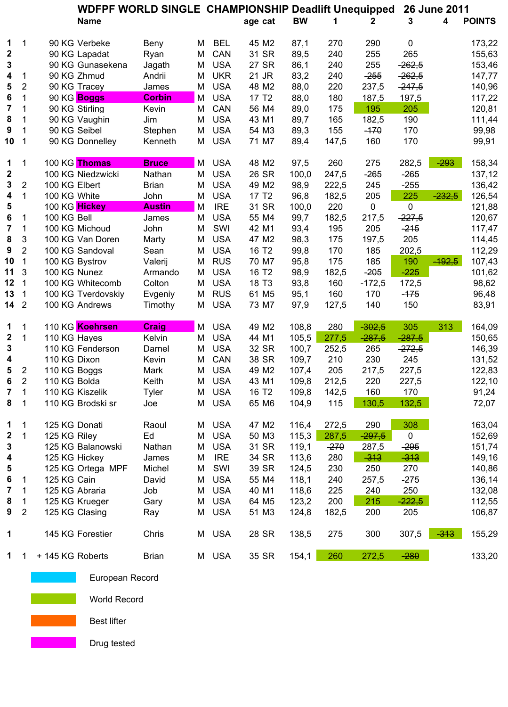|                         |                |                  | WDFPF WORLD SINGLE CHAMPIONSHIP Deadlift Unequipped |               |   |            |                   |           |        |          |             | 26 June 2011 |               |  |
|-------------------------|----------------|------------------|-----------------------------------------------------|---------------|---|------------|-------------------|-----------|--------|----------|-------------|--------------|---------------|--|
|                         |                |                  | <b>Name</b>                                         |               |   |            | age cat           | <b>BW</b> | 1      | 2        | 3           | 4            | <b>POINTS</b> |  |
|                         |                |                  |                                                     |               |   |            |                   |           |        |          |             |              |               |  |
| 1                       | 1              | 90 KG Verbeke    |                                                     | Beny          | M | <b>BEL</b> | 45 M2             | 87,1      | 270    | 290      | $\mathbf 0$ |              | 173,22        |  |
| $\mathbf 2$             |                | 90 KG Lapadat    |                                                     | Ryan          | M | CAN        | 31 SR             | 89,5      | 240    | 255      | 265         |              | 155,63        |  |
| 3                       |                |                  | 90 KG Gunasekena                                    | Jagath        | M | <b>USA</b> | <b>27 SR</b>      | 86,1      | 240    | 255      | $-262,5$    |              | 153,46        |  |
| 4                       | 1              | 90 KG Zhmud      |                                                     | Andrii        | M | <b>UKR</b> | 21 JR             | 83,2      | 240    | $-255$   | $-262,5$    |              | 147,77        |  |
| 5                       | 2              | 90 KG Tracey     |                                                     | James         | M | <b>USA</b> | 48 M2             | 88,0      | 220    | 237,5    | $-247,5$    |              | 140,96        |  |
| 6                       | 1              | 90 KG Boggs      |                                                     | <b>Corbin</b> | M | <b>USA</b> | 17 T <sub>2</sub> | 88,0      | 180    | 187,5    | 197,5       |              | 117,22        |  |
| 7                       | 1              | 90 KG Stirling   |                                                     | Kevin         | M | CAN        | 56 M4             | 89,0      | 175    | 195      | 205         |              | 120,81        |  |
| $\bf 8$                 | 1              | 90 KG Vaughin    |                                                     | Jim           | M | <b>USA</b> | 43 M1             | 89,7      | 165    | 182,5    | 190         |              | 111,44        |  |
| 9                       | 1              | 90 KG Seibel     |                                                     | Stephen       | M | <b>USA</b> | 54 M3             | 89,3      | 155    | $-170$   | 170         |              | 99,98         |  |
| 10                      | 1              |                  | 90 KG Donnelley                                     | Kenneth       | M | <b>USA</b> | 71 M7             | 89,4      | 147,5  | 160      | 170         |              | 99,91         |  |
| 1                       | 1              | 100 KG Thomas    |                                                     | <b>Bruce</b>  | M | <b>USA</b> | 48 M2             | 97,5      | 260    | 275      | 282,5       | $-293$       | 158,34        |  |
| 2                       |                |                  | 100 KG Niedzwicki                                   | Nathan        | M | <b>USA</b> | 26 SR             | 100,0     | 247,5  | $-265$   | $-265$      |              | 137,12        |  |
| 3                       | 2              | 100 KG Elbert    |                                                     | <b>Brian</b>  | M | <b>USA</b> | 49 M2             | 98,9      | 222,5  | 245      | $-255$      |              | 136,42        |  |
| 4                       | $\mathbf{1}$   | 100 KG White     |                                                     | John          | M | <b>USA</b> | 17 T <sub>2</sub> | 96,8      | 182,5  | 205      | 225         | $-232,5$     | 126,54        |  |
| 5                       |                | 100 KG Hickey    |                                                     | <b>Austin</b> | M | <b>IRE</b> | 31 SR             | 100,0     | 220    | 0        | 0           |              | 121,88        |  |
| 6                       | 1              | 100 KG Bell      |                                                     | James         | M | <b>USA</b> | 55 M4             | 99,7      | 182,5  | 217,5    | $-227,5$    |              | 120,67        |  |
| $\overline{\mathbf{7}}$ | 1              | 100 KG Michoud   |                                                     | John          | M | SWI        | 42 M1             | 93,4      | 195    | 205      | $-215$      |              | 117,47        |  |
| 8                       | 3              |                  | 100 KG Van Doren                                    | Marty         | M | <b>USA</b> | 47 M2             | 98,3      | 175    | 197,5    | 205         |              | 114,45        |  |
| 9                       | 2              | 100 KG Sandoval  |                                                     | Sean          | M | <b>USA</b> | 16 T <sub>2</sub> | 99,8      | 170    | 185      | 202,5       |              | 112,29        |  |
| 10                      | $\mathbf 1$    | 100 KG Bystrov   |                                                     | Valerij       | M | <b>RUS</b> | 70 M7             | 95,8      | 175    | 185      | 190         | $-192,5$     | 107,43        |  |
| 11                      | 3              | 100 KG Nunez     |                                                     | Armando       | M | <b>USA</b> | 16 T <sub>2</sub> | 98,9      | 182,5  | $-205$   | $-225$      |              | 101,62        |  |
| 12                      | 1              |                  | 100 KG Whitecomb                                    | Colton        | M | <b>USA</b> | 18 T <sub>3</sub> | 93,8      | 160    | $-172,5$ | 172,5       |              | 98,62         |  |
| 13                      | 1              |                  | 100 KG Tverdovskiy                                  | Evgeniy       | M | <b>RUS</b> | 61 M <sub>5</sub> | 95,1      | 160    | 170      | $-175$      |              | 96,48         |  |
| $142$                   |                | 100 KG Andrews   |                                                     | Timothy       | M | <b>USA</b> | 73 M7             | 97,9      | 127,5  | 140      | 150         |              | 83,91         |  |
| 1                       | 1              |                  | 110 KG Koehrsen                                     | <b>Craig</b>  | M | <b>USA</b> | 49 M2             | 108,8     | 280    | $-302,5$ | 305         | 313          | 164,09        |  |
| $\mathbf 2$             | $\mathbf{1}$   | 110 KG Hayes     |                                                     | Kelvin        | M | <b>USA</b> | 44 M1             | 105,5     | 277,5  | $-287,5$ | $-287,5$    |              | 150,65        |  |
| $\mathbf 3$             |                |                  | 110 KG Fenderson                                    | Darnel        | M | <b>USA</b> | 32 SR             | 100,7     | 252,5  | 265      | $-272,5$    |              | 146,39        |  |
| 4                       |                | 110 KG Dixon     |                                                     | Kevin         | M | CAN        | 38 SR             | 109,7     | 210    | 230      | 245         |              | 131,52        |  |
| 5                       | 2              | 110 KG Boggs     |                                                     | Mark          | M | <b>USA</b> | 49 M2             | 107,4     | 205    | 217,5    | 227,5       |              | 122,83        |  |
| 6                       | 2              | 110 KG Bolda     |                                                     | Keith         | M | <b>USA</b> | 43 M1             | 109,8     | 212,5  | 220      | 227,5       |              | 122,10        |  |
| $\overline{7}$          | 1              | 110 KG Kiszelik  |                                                     | Tyler         | M | <b>USA</b> | 16 T <sub>2</sub> | 109,8     | 142,5  | 160      | 170         |              | 91,24         |  |
| 8                       | $\overline{1}$ |                  | 110 KG Brodski sr                                   | Joe           | M | <b>USA</b> | 65 M6             | 104,9     | 115    | 130,5    | 132,5       |              | 72,07         |  |
| 1                       | 1              | 125 KG Donati    |                                                     | Raoul         | M | <b>USA</b> | 47 M2             | 116,4     | 272,5  | 290      | 308         |              | 163,04        |  |
| 2                       | 1              | 125 KG Riley     |                                                     | Ed            | M | <b>USA</b> | 50 M3             | 115,3     | 287,5  | $-297,5$ | 0           |              | 152,69        |  |
| 3                       |                |                  | 125 KG Balanowski                                   | Nathan        | M | <b>USA</b> | 31 SR             | 119,1     | $-270$ | 287,5    | $-295$      |              | 151,74        |  |
| 4                       |                | 125 KG Hickey    |                                                     | James         | M | <b>IRE</b> | 34 SR             | 113,6     | 280    | $-313$   | $-313$      |              | 149,16        |  |
| 5                       |                |                  | 125 KG Ortega MPF                                   | Michel        | M | SWI        | 39 SR             | 124,5     | 230    | 250      | 270         |              | 140,86        |  |
| 6                       | 1              | 125 KG Cain      |                                                     | David         | M | <b>USA</b> | 55 M4             | 118,1     | 240    | 257,5    | $-275$      |              | 136,14        |  |
| 7                       | 1              | 125 KG Abraria   |                                                     | Job           | M | <b>USA</b> | 40 M1             | 118,6     | 225    | 240      | 250         |              | 132,08        |  |
| 8                       | 1              | 125 KG Krueger   |                                                     | Gary          | M | <b>USA</b> | 64 M5             | 123,2     | 200    | 215      | $-222,5$    |              | 112,55        |  |
| 9                       | $\overline{2}$ | 125 KG Clasing   |                                                     | Ray           | M | <b>USA</b> | 51 M3             | 124,8     | 182,5  | 200      | 205         |              | 106,87        |  |
|                         |                |                  |                                                     |               |   |            |                   |           |        |          |             |              |               |  |
| 1                       |                | 145 KG Forestier |                                                     | Chris         | M | <b>USA</b> | 28 SR             | 138,5     | 275    | 300      | 307,5       | $-313$       | 155,29        |  |
| 1                       |                | + 145 KG Roberts |                                                     | <b>Brian</b>  |   | M USA      | 35 SR             | 154,1     | 260    | 272,5    | $-280$      |              | 133,20        |  |
|                         |                |                  |                                                     |               |   |            |                   |           |        |          |             |              |               |  |



 $\mathcal{L}(\mathcal{L})$ World Record

Best lifter

Drug tested